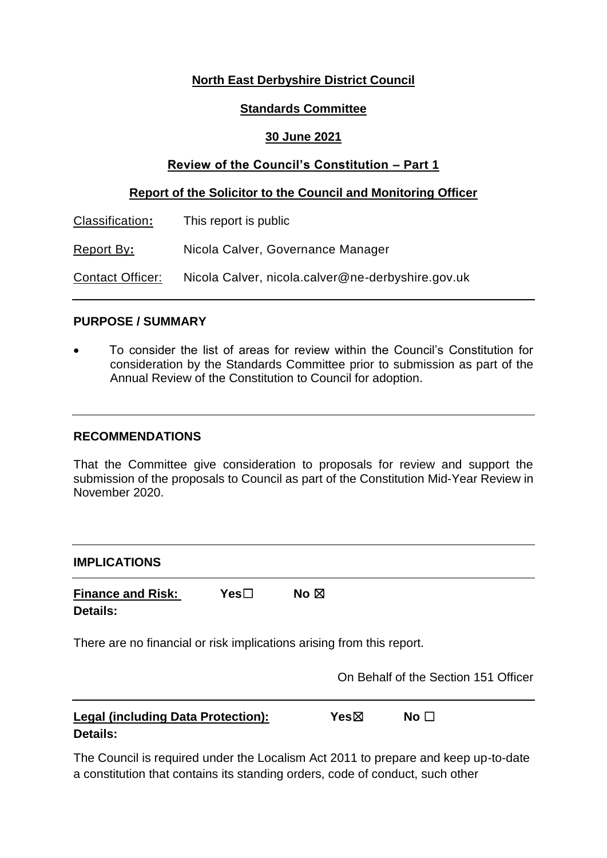# **North East Derbyshire District Council**

### **Standards Committee**

## **30 June 2021**

## **Review of the Council's Constitution – Part 1**

### **Report of the Solicitor to the Council and Monitoring Officer**

| Classification:  | This report is public                             |
|------------------|---------------------------------------------------|
| Report By:       | Nicola Calver, Governance Manager                 |
| Contact Officer: | Nicola Calver, nicola.calver@ne-derbyshire.gov.uk |

### **PURPOSE / SUMMARY**

 To consider the list of areas for review within the Council's Constitution for consideration by the Standards Committee prior to submission as part of the Annual Review of the Constitution to Council for adoption.

### **RECOMMENDATIONS**

That the Committee give consideration to proposals for review and support the submission of the proposals to Council as part of the Constitution Mid-Year Review in November 2020.

| <b>IMPLICATIONS</b>                                                   |                  |                |              |                                      |
|-----------------------------------------------------------------------|------------------|----------------|--------------|--------------------------------------|
| <b>Finance and Risk:</b><br><b>Details:</b>                           | Yes <sub>1</sub> | No $\boxtimes$ |              |                                      |
| There are no financial or risk implications arising from this report. |                  |                |              | On Behalf of the Section 151 Officer |
| <b>Legal (including Data Protection):</b><br>Details:                 |                  | Yesbox         | No $\square$ |                                      |

The Council is required under the Localism Act 2011 to prepare and keep up-to-date a constitution that contains its standing orders, code of conduct, such other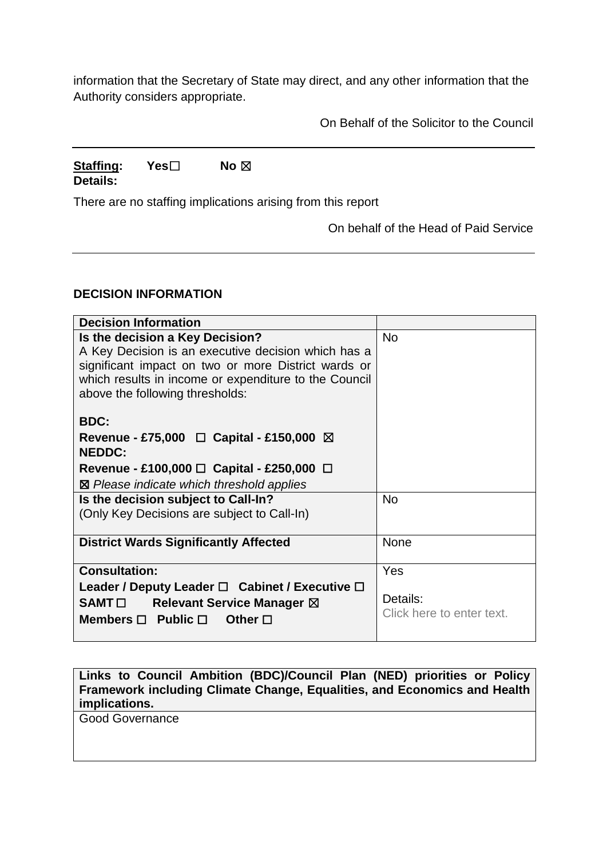information that the Secretary of State may direct, and any other information that the Authority considers appropriate.

On Behalf of the Solicitor to the Council

## **Staffing: Yes**☐ **No** ☒ **Details:**

There are no staffing implications arising from this report

On behalf of the Head of Paid Service

## **DECISION INFORMATION**

| <b>Decision Information</b>                                                                                                                                                                                                                                                                                                                                                                 |                                       |
|---------------------------------------------------------------------------------------------------------------------------------------------------------------------------------------------------------------------------------------------------------------------------------------------------------------------------------------------------------------------------------------------|---------------------------------------|
| Is the decision a Key Decision?<br>A Key Decision is an executive decision which has a<br>significant impact on two or more District wards or<br>which results in income or expenditure to the Council<br>above the following thresholds:<br><b>BDC:</b><br>Revenue - £75,000 $\Box$ Capital - £150,000 $\boxtimes$<br><b>NEDDC:</b><br>Revenue - £100,000 $\Box$ Capital - £250,000 $\Box$ | <b>No</b>                             |
| ⊠ Please indicate which threshold applies                                                                                                                                                                                                                                                                                                                                                   |                                       |
| Is the decision subject to Call-In?<br>(Only Key Decisions are subject to Call-In)                                                                                                                                                                                                                                                                                                          | <b>No</b>                             |
| <b>District Wards Significantly Affected</b>                                                                                                                                                                                                                                                                                                                                                | None                                  |
| <b>Consultation:</b>                                                                                                                                                                                                                                                                                                                                                                        | Yes                                   |
| Leader / Deputy Leader $\square$ Cabinet / Executive $\square$<br>SAMT□ Relevant Service Manager ⊠<br>Members $\Box$ Public $\Box$<br>Other $\Box$                                                                                                                                                                                                                                          | Details:<br>Click here to enter text. |

**Links to Council Ambition (BDC)/Council Plan (NED) priorities or Policy Framework including Climate Change, Equalities, and Economics and Health implications.**

Good Governance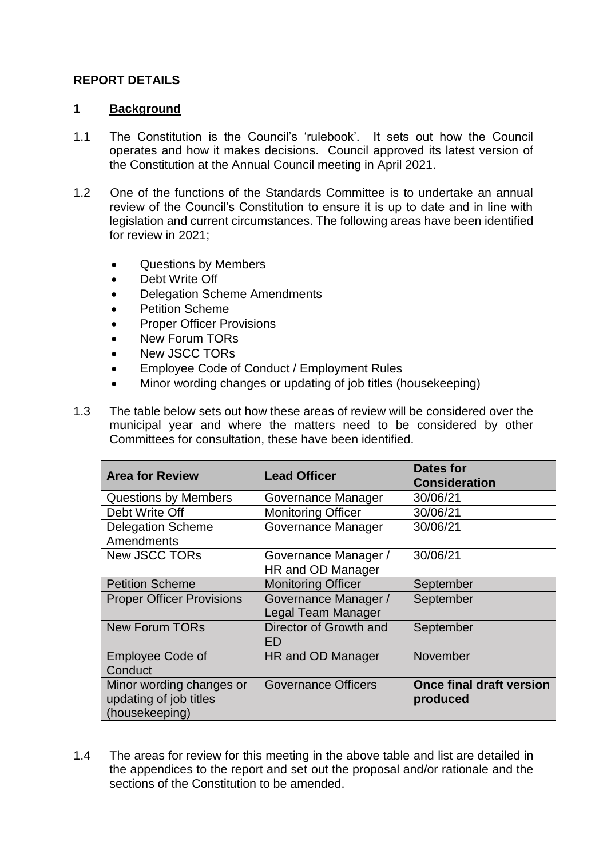## **REPORT DETAILS**

### **1 Background**

- 1.1 The Constitution is the Council's 'rulebook'. It sets out how the Council operates and how it makes decisions. Council approved its latest version of the Constitution at the Annual Council meeting in April 2021.
- 1.2 One of the functions of the Standards Committee is to undertake an annual review of the Council's Constitution to ensure it is up to date and in line with legislation and current circumstances. The following areas have been identified for review in 2021;
	- Questions by Members
	- Debt Write Off
	- Delegation Scheme Amendments
	- Petition Scheme
	- Proper Officer Provisions
	- New Forum TORs
	- New JSCC TORs
	- Employee Code of Conduct / Employment Rules
	- Minor wording changes or updating of job titles (housekeeping)
- 1.3 The table below sets out how these areas of review will be considered over the municipal year and where the matters need to be considered by other Committees for consultation, these have been identified.

| <b>Area for Review</b>                                               | <b>Lead Officer</b>                        | Dates for<br><b>Consideration</b>           |
|----------------------------------------------------------------------|--------------------------------------------|---------------------------------------------|
| <b>Questions by Members</b>                                          | Governance Manager                         | 30/06/21                                    |
| Debt Write Off                                                       | <b>Monitoring Officer</b>                  | 30/06/21                                    |
| <b>Delegation Scheme</b><br>Amendments                               | Governance Manager                         | 30/06/21                                    |
| <b>New JSCC TORs</b>                                                 | Governance Manager /<br>HR and OD Manager  | 30/06/21                                    |
| <b>Petition Scheme</b>                                               | <b>Monitoring Officer</b>                  | September                                   |
| <b>Proper Officer Provisions</b>                                     | Governance Manager /<br>Legal Team Manager | September                                   |
| <b>New Forum TORs</b>                                                | Director of Growth and<br>ED               | September                                   |
| <b>Employee Code of</b><br>Conduct                                   | HR and OD Manager                          | November                                    |
| Minor wording changes or<br>updating of job titles<br>(housekeeping) | <b>Governance Officers</b>                 | <b>Once final draft version</b><br>produced |

1.4 The areas for review for this meeting in the above table and list are detailed in the appendices to the report and set out the proposal and/or rationale and the sections of the Constitution to be amended.